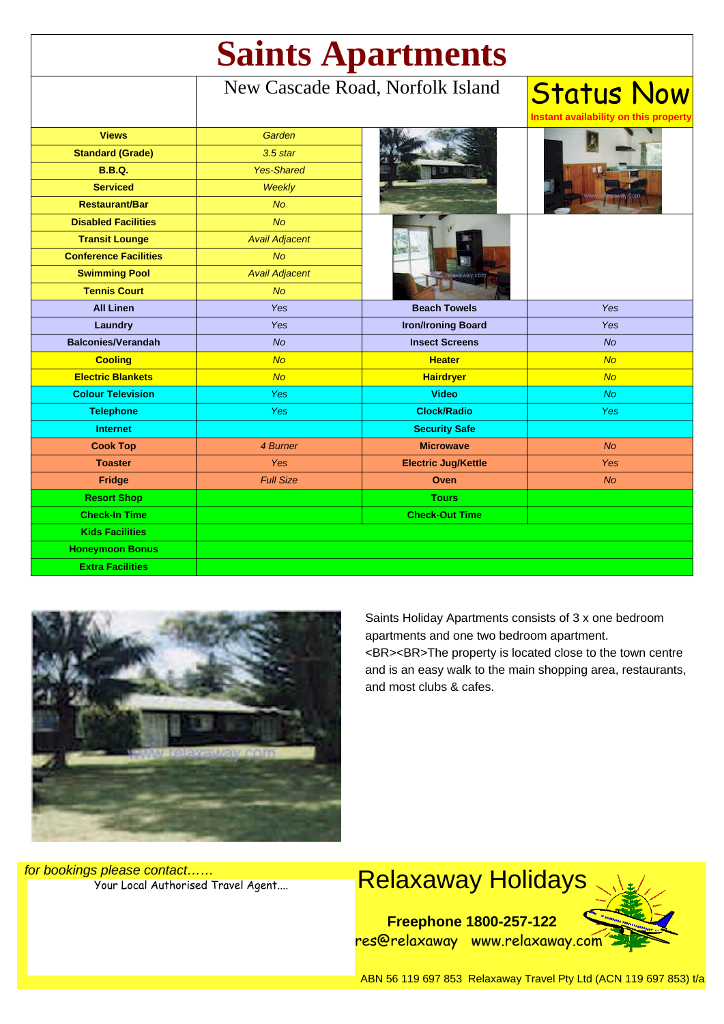| <b>Saints Apartments</b>     |                                  |                            |                                                            |
|------------------------------|----------------------------------|----------------------------|------------------------------------------------------------|
|                              | New Cascade Road, Norfolk Island |                            | <b>Status Now</b><br>Instant availability on this property |
| <b>Views</b>                 | Garden                           |                            |                                                            |
| <b>Standard (Grade)</b>      | $3.5$ star                       |                            |                                                            |
| <b>B.B.Q.</b>                | <b>Yes-Shared</b>                |                            |                                                            |
| <b>Serviced</b>              | Weekly                           |                            |                                                            |
| <b>Restaurant/Bar</b>        | <b>No</b>                        |                            |                                                            |
| <b>Disabled Facilities</b>   | <b>No</b>                        |                            |                                                            |
| <b>Transit Lounge</b>        | <b>Avail Adjacent</b>            |                            |                                                            |
| <b>Conference Facilities</b> | <b>No</b>                        |                            |                                                            |
| <b>Swimming Pool</b>         | <b>Avail Adjacent</b>            |                            |                                                            |
| <b>Tennis Court</b>          | No                               |                            |                                                            |
| <b>All Linen</b>             | Yes                              | <b>Beach Towels</b>        | Yes                                                        |
| Laundry                      | Yes                              | <b>Iron/Ironing Board</b>  | Yes                                                        |
| <b>Balconies/Verandah</b>    | No                               | <b>Insect Screens</b>      | No                                                         |
| <b>Cooling</b>               | <b>No</b>                        | <b>Heater</b>              | <b>No</b>                                                  |
| <b>Electric Blankets</b>     | <b>No</b>                        | <b>Hairdryer</b>           | <b>No</b>                                                  |
| <b>Colour Television</b>     | Yes                              | <b>Video</b>               | <b>No</b>                                                  |
| <b>Telephone</b>             | <b>Yes</b>                       | <b>Clock/Radio</b>         | <b>Yes</b>                                                 |
| <b>Internet</b>              |                                  | <b>Security Safe</b>       |                                                            |
| <b>Cook Top</b>              | 4 Burner                         | <b>Microwave</b>           | No                                                         |
| <b>Toaster</b>               | Yes                              | <b>Electric Jug/Kettle</b> | Yes                                                        |
| Fridge                       | <b>Full Size</b>                 | Oven                       | <b>No</b>                                                  |
| <b>Resort Shop</b>           |                                  | <b>Tours</b>               |                                                            |
| <b>Check-In Time</b>         |                                  | <b>Check-Out Time</b>      |                                                            |
| <b>Kids Facilities</b>       |                                  |                            |                                                            |
| <b>Honeymoon Bonus</b>       |                                  |                            |                                                            |
| <b>Extra Facilities</b>      |                                  |                            |                                                            |



Saints Holiday Apartments consists of 3 x one bedroom apartments and one two bedroom apartment. <BR><BR>The property is located close to the town centre and is an easy walk to the main shopping area, restaurants, and most clubs & cafes.

for bookings please contact……